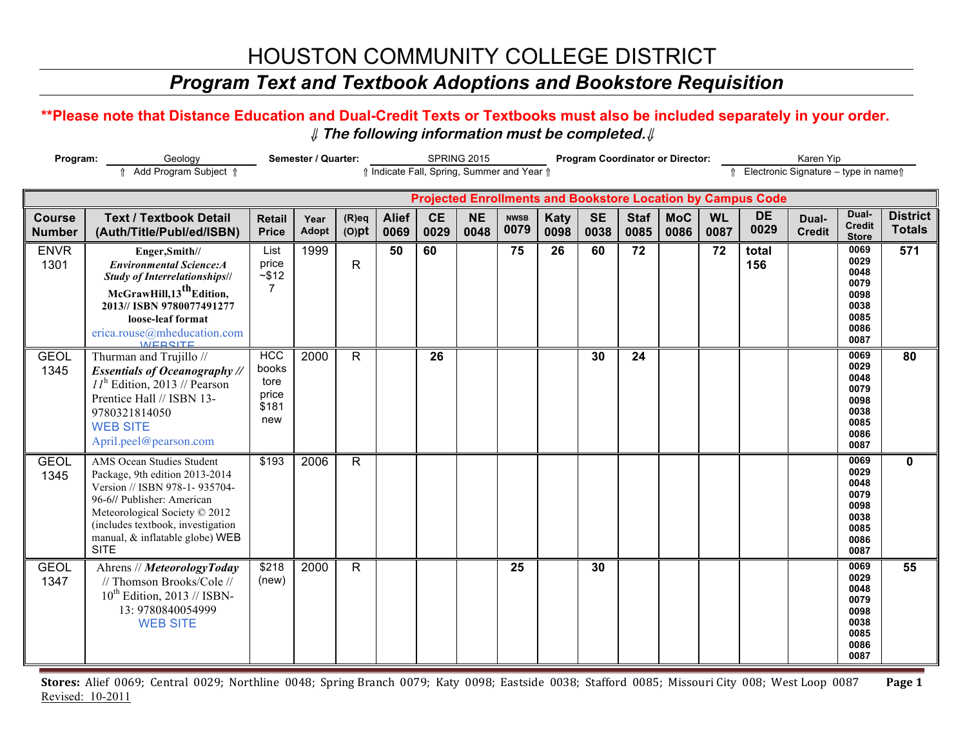### *Program Text and Textbook Adoptions and Bookstore Requisition*

#### **\*\*Please note that Distance Education and Dual-Credit Texts or Textbooks must also be included separately in your order.**  ⇓ **The following information must be completed.**⇓

| Program:<br>Geology<br>Add Program Subject 1 |                                                                                                                                                                                                                                                    |                                                      | Semester / Quarter:  |                      | SPRING 2015<br>↑ Indicate Fall, Spring, Summer and Year ↑ |                   |                   |                     |              |                   |                     | <b>Program Coordinator or Director:</b><br>Karen Yip |                   |                                                                    |                        |                                                                      |                                  |  |
|----------------------------------------------|----------------------------------------------------------------------------------------------------------------------------------------------------------------------------------------------------------------------------------------------------|------------------------------------------------------|----------------------|----------------------|-----------------------------------------------------------|-------------------|-------------------|---------------------|--------------|-------------------|---------------------|------------------------------------------------------|-------------------|--------------------------------------------------------------------|------------------------|----------------------------------------------------------------------|----------------------------------|--|
| Electronic Signature - type in name f        |                                                                                                                                                                                                                                                    |                                                      |                      |                      |                                                           |                   |                   |                     |              |                   |                     |                                                      |                   |                                                                    |                        |                                                                      |                                  |  |
|                                              |                                                                                                                                                                                                                                                    |                                                      |                      |                      |                                                           |                   |                   |                     |              |                   |                     |                                                      |                   | <b>Projected Enrollments and Bookstore Location by Campus Code</b> |                        |                                                                      |                                  |  |
| <b>Course</b><br><b>Number</b>               | <b>Text / Textbook Detail</b><br>(Auth/Title/Publ/ed/ISBN)                                                                                                                                                                                         | <b>Retail</b><br><b>Price</b>                        | Year<br><b>Adopt</b> | $(R)$ eq<br>$(O)$ pt | <b>Alief</b><br>0069                                      | <b>CE</b><br>0029 | <b>NE</b><br>0048 | <b>NWSB</b><br>0079 | Katy<br>0098 | <b>SE</b><br>0038 | <b>Staf</b><br>0085 | <b>MoC</b><br>0086                                   | <b>WL</b><br>0087 | <b>DE</b><br>0029                                                  | Dual-<br><b>Credit</b> | Dual-<br><b>Credit</b><br><b>Store</b>                               | <b>District</b><br><b>Totals</b> |  |
| <b>ENVR</b><br>1301                          | Enger, Smith//<br><b>Environmental Science:A</b><br><b>Study of Interrelationships//</b><br>McGrawHill, 13 <sup>th</sup> Edition,<br>2013// ISBN 9780077491277<br>loose-leaf format<br>erica.rouse@mheducation.com<br><b>MEDSITE</b>               | List<br>price<br>$-$ \$12<br>7                       | 1999                 | $\mathsf{R}$         | 50                                                        | 60                |                   | 75                  | 26           | 60                | 72                  |                                                      | $\overline{72}$   | total<br>156                                                       |                        | 0069<br>0029<br>0048<br>0079<br>0098<br>0038<br>0085<br>0086<br>0087 | 571                              |  |
| <b>GEOL</b><br>1345                          | Thurman and Trujillo //<br><b>Essentials of Oceanography //</b><br>$II^{\text{h}}$ Edition, 2013 // Pearson<br>Prentice Hall // ISBN 13-<br>9780321814050<br><b>WEB SITE</b><br>April.peel@pearson.com                                             | <b>HCC</b><br>books<br>tore<br>price<br>\$181<br>new | 2000                 | $\mathsf{R}$         |                                                           | 26                |                   |                     |              | 30                | 24                  |                                                      |                   |                                                                    |                        | 0069<br>0029<br>0048<br>0079<br>0098<br>0038<br>0085<br>0086<br>0087 | 80                               |  |
| <b>GEOL</b><br>1345                          | AMS Ocean Studies Student<br>Package, 9th edition 2013-2014<br>Version // ISBN 978-1-935704-<br>96-6// Publisher: American<br>Meteorological Society © 2012<br>(includes textbook, investigation<br>manual, & inflatable globe) WEB<br><b>SITE</b> | \$193                                                | 2006                 | $\mathsf{R}$         |                                                           |                   |                   |                     |              |                   |                     |                                                      |                   |                                                                    |                        | 0069<br>0029<br>0048<br>0079<br>0098<br>0038<br>0085<br>0086<br>0087 | $\mathbf 0$                      |  |
| <b>GEOL</b><br>1347                          | Ahrens // MeteorologyToday<br>// Thomson Brooks/Cole //<br>$10^{th}$ Edition, 2013 // ISBN-<br>13: 9780840054999<br><b>WEB SITE</b>                                                                                                                | \$218<br>(new)                                       | 2000                 | $\mathsf{R}$         |                                                           |                   |                   | 25                  |              | 30                |                     |                                                      |                   |                                                                    |                        | 0069<br>0029<br>0048<br>0079<br>0098<br>0038<br>0085<br>0086<br>0087 | 55                               |  |

Stores: Alief 0069; Central 0029; Northline 0048; Spring Branch 0079; Katy 0098; Eastside 0038; Stafford 0085; Missouri City 008; West Loop 0087 Page 1 Revised: 10-2011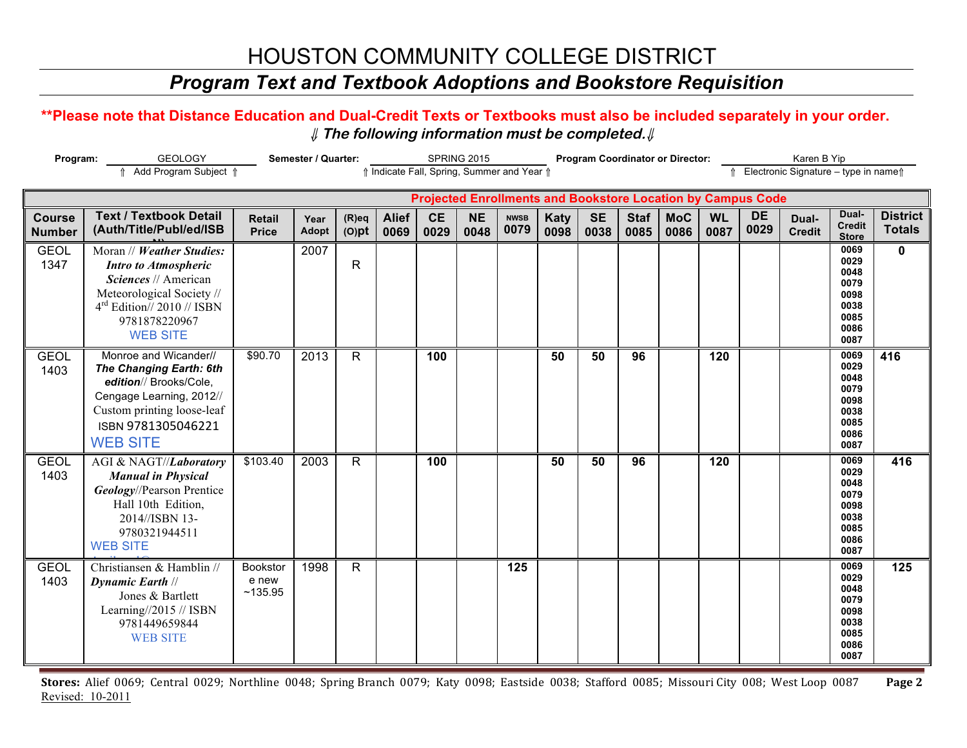### *Program Text and Textbook Adoptions and Bookstore Requisition*

#### **\*\*Please note that Distance Education and Dual-Credit Texts or Textbooks must also be included separately in your order.**  ⇓ **The following information must be completed.**⇓

| <b>GEOLOGY</b><br>Program:     |                                                                                                                                                                                   | Semester / Quarter:                                                                 |               |                      | SPRING 2015          |                   |                   |                     | <b>Program Coordinator or Director:</b> |                                                                    |                     |                    |                   |                   | Karen B Yip            |                                                                      |                                  |  |
|--------------------------------|-----------------------------------------------------------------------------------------------------------------------------------------------------------------------------------|-------------------------------------------------------------------------------------|---------------|----------------------|----------------------|-------------------|-------------------|---------------------|-----------------------------------------|--------------------------------------------------------------------|---------------------|--------------------|-------------------|-------------------|------------------------|----------------------------------------------------------------------|----------------------------------|--|
|                                | ↑ Add Program Subject ↑                                                                                                                                                           | ↑ Electronic Signature - type in name<br>↑ Indicate Fall, Spring, Summer and Year ↑ |               |                      |                      |                   |                   |                     |                                         |                                                                    |                     |                    |                   |                   |                        |                                                                      |                                  |  |
|                                |                                                                                                                                                                                   |                                                                                     |               |                      |                      |                   |                   |                     |                                         | <b>Projected Enrollments and Bookstore Location by Campus Code</b> |                     |                    |                   |                   |                        |                                                                      |                                  |  |
| <b>Course</b><br><b>Number</b> | <b>Text / Textbook Detail</b><br>(Auth/Title/Publ/ed/ISB                                                                                                                          | <b>Retail</b><br><b>Price</b>                                                       | Year<br>Adopt | $(R)$ eq<br>$(O)$ pt | <b>Alief</b><br>0069 | <b>CE</b><br>0029 | <b>NE</b><br>0048 | <b>NWSB</b><br>0079 | <b>Katy</b><br>0098                     | <b>SE</b><br>0038                                                  | <b>Staf</b><br>0085 | <b>MoC</b><br>0086 | <b>WL</b><br>0087 | <b>DE</b><br>0029 | Dual-<br><b>Credit</b> | Dual-<br><b>Credit</b><br><b>Store</b>                               | <b>District</b><br><b>Totals</b> |  |
| <b>GEOL</b><br>1347            | Moran // Weather Studies:<br><b>Intro to Atmospheric</b><br>Sciences // American<br>Meteorological Society //<br>$4rd$ Edition// 2010 // ISBN<br>9781878220967<br><b>WEB SITE</b> |                                                                                     | 2007          | $\mathsf{R}$         |                      |                   |                   |                     |                                         |                                                                    |                     |                    |                   |                   |                        | 0069<br>0029<br>0048<br>0079<br>0098<br>0038<br>0085<br>0086<br>0087 | $\mathbf 0$                      |  |
| <b>GEOL</b><br>1403            | Monroe and Wicander//<br>The Changing Earth: 6th<br>edition// Brooks/Cole,<br>Cengage Learning, 2012//<br>Custom printing loose-leaf<br>ISBN 9781305046221<br><b>WEB SITE</b>     | \$90.70                                                                             | 2013          | R                    |                      | 100               |                   |                     | 50                                      | 50                                                                 | 96                  |                    | 120               |                   |                        | 0069<br>0029<br>0048<br>0079<br>0098<br>0038<br>0085<br>0086<br>0087 | 416                              |  |
| <b>GEOL</b><br>1403            | AGI & NAGT//Laboratory<br><b>Manual in Physical</b><br><b>Geology</b> //Pearson Prentice<br>Hall 10th Edition,<br>2014//ISBN 13-<br>9780321944511<br><b>WEB SITE</b>              | \$103.40                                                                            | 2003          | R                    |                      | 100               |                   |                     | 50                                      | 50                                                                 | 96                  |                    | 120               |                   |                        | 0069<br>0029<br>0048<br>0079<br>0098<br>0038<br>0085<br>0086<br>0087 | 416                              |  |
| <b>GEOL</b><br>1403            | Christiansen & Hamblin //<br><b>Dynamic Earth //</b><br>Jones & Bartlett<br>Learning//2015 // ISBN<br>9781449659844<br><b>WEB SITE</b>                                            | Bookstor<br>e new<br>~135.95                                                        | 1998          | R                    |                      |                   |                   | 125                 |                                         |                                                                    |                     |                    |                   |                   |                        | 0069<br>0029<br>0048<br>0079<br>0098<br>0038<br>0085<br>0086<br>0087 | 125                              |  |

Stores: Alief 0069; Central 0029; Northline 0048; Spring Branch 0079; Katy 0098; Eastside 0038; Stafford 0085; Missouri City 008; West Loop 0087 Page 2 Revised: 10-2011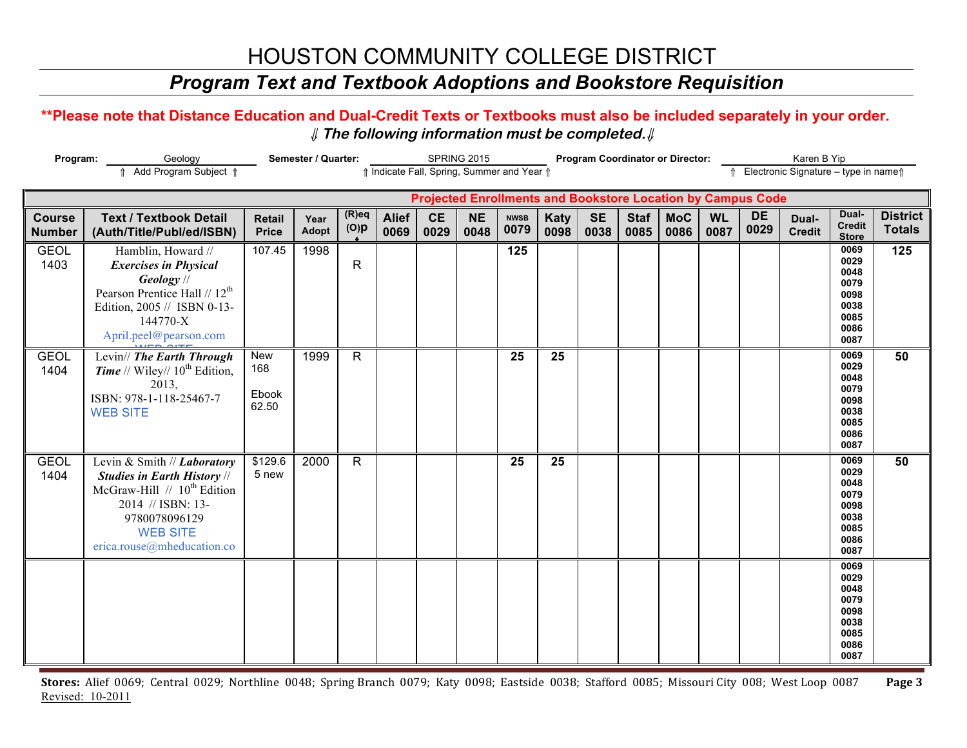### *Program Text and Textbook Adoptions and Bookstore Requisition*

#### **\*\*Please note that Distance Education and Dual-Credit Texts or Textbooks must also be included separately in your order.**  ⇓ **The following information must be completed.**⇓

| Geology<br>Program:            |                                                                                                                                                                                                     |                               | Semester / Quarter: |                     | SPRING 2015<br>↑ Indicate Fall, Spring, Summer and Year ↑ |                   |                   |                     |                     | <b>Program Coordinator or Director:</b> |                     |                    | Karen B Yip<br>↑ Electronic Signature - type in name ↑ |                                                                    |                        |                                                                      |                                  |
|--------------------------------|-----------------------------------------------------------------------------------------------------------------------------------------------------------------------------------------------------|-------------------------------|---------------------|---------------------|-----------------------------------------------------------|-------------------|-------------------|---------------------|---------------------|-----------------------------------------|---------------------|--------------------|--------------------------------------------------------|--------------------------------------------------------------------|------------------------|----------------------------------------------------------------------|----------------------------------|
|                                | Add Program Subject 1                                                                                                                                                                               |                               |                     |                     |                                                           |                   |                   |                     |                     |                                         |                     |                    |                                                        |                                                                    |                        |                                                                      |                                  |
|                                |                                                                                                                                                                                                     |                               |                     |                     |                                                           |                   |                   |                     |                     |                                         |                     |                    |                                                        | <b>Projected Enrollments and Bookstore Location by Campus Code</b> |                        |                                                                      |                                  |
| <b>Course</b><br><b>Number</b> | <b>Text / Textbook Detail</b><br>(Auth/Title/Publ/ed/ISBN)                                                                                                                                          | <b>Retail</b><br><b>Price</b> | Year<br>Adopt       | $(R)$ eq<br>$(O)$ p | <b>Alief</b><br>0069                                      | <b>CE</b><br>0029 | <b>NE</b><br>0048 | <b>NWSB</b><br>0079 | <b>Katy</b><br>0098 | <b>SE</b><br>0038                       | <b>Staf</b><br>0085 | <b>MoC</b><br>0086 | <b>WL</b><br>0087                                      | DE<br>0029                                                         | Dual-<br><b>Credit</b> | Dual-<br><b>Credit</b><br><b>Store</b>                               | <b>District</b><br><b>Totals</b> |
| <b>GEOL</b><br>1403            | Hamblin, Howard //<br><b>Exercises in Physical</b><br>Geology //<br>Pearson Prentice Hall // 12 <sup>th</sup><br>Edition, 2005 // ISBN 0-13-<br>144770-X<br>April.peel@pearson.com                  | 107.45                        | 1998                | $\mathsf{R}$        |                                                           |                   |                   | 125                 |                     |                                         |                     |                    |                                                        |                                                                    |                        | 0069<br>0029<br>0048<br>0079<br>0098<br>0038<br>0085<br>0086<br>0087 | 125                              |
| <b>GEOL</b><br>1404            | Levin// The Earth Through<br><b>Time</b> // Wiley// $10^{th}$ Edition,<br>2013,<br>ISBN: 978-1-118-25467-7<br><b>WEB SITE</b>                                                                       | New<br>168<br>Ebook<br>62.50  | 1999                | $\mathsf{R}$        |                                                           |                   |                   | 25                  | 25                  |                                         |                     |                    |                                                        |                                                                    |                        | 0069<br>0029<br>0048<br>0079<br>0098<br>0038<br>0085<br>0086<br>0087 | 50                               |
| <b>GEOL</b><br>1404            | Levin & Smith // Laboratory<br><b>Studies in Earth History //</b><br>McGraw-Hill // 10 <sup>th</sup> Edition<br>2014 // ISBN: 13-<br>9780078096129<br><b>WEB SITE</b><br>erica.rouse@mheducation.co | \$129.6<br>5 new              | 2000                | $\mathsf{R}$        |                                                           |                   |                   | 25                  | 25                  |                                         |                     |                    |                                                        |                                                                    |                        | 0069<br>0029<br>0048<br>0079<br>0098<br>0038<br>0085<br>0086<br>0087 | 50                               |
|                                |                                                                                                                                                                                                     |                               |                     |                     |                                                           |                   |                   |                     |                     |                                         |                     |                    |                                                        |                                                                    |                        | 0069<br>0029<br>0048<br>0079<br>0098<br>0038<br>0085<br>0086<br>0087 |                                  |

Stores: Alief 0069; Central 0029; Northline 0048; Spring Branch 0079; Katy 0098; Eastside 0038; Stafford 0085; Missouri City 008; West Loop 0087 Page 3 Revised: 10-2011